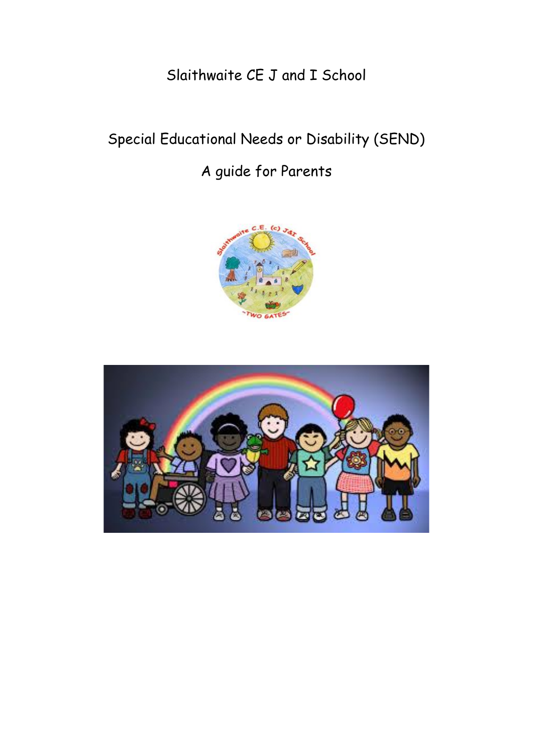Slaithwaite CE J and I School

# Special Educational Needs or Disability (SEND)

# A guide for Parents



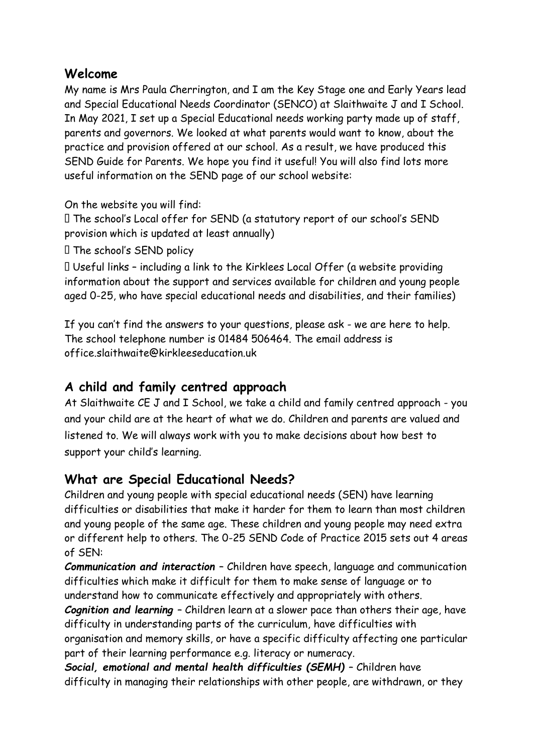### **Welcome**

My name is Mrs Paula Cherrington, and I am the Key Stage one and Early Years lead and Special Educational Needs Coordinator (SENCO) at Slaithwaite J and I School. In May 2021, I set up a Special Educational needs working party made up of staff, parents and governors. We looked at what parents would want to know, about the practice and provision offered at our school. As a result, we have produced this SEND Guide for Parents. We hope you find it useful! You will also find lots more useful information on the SEND page of our school website:

On the website you will find:

The school's Local offer for SEND (a statutory report of our school's SEND provision which is updated at least annually)

The school's SEND policy

Useful links – including a link to the Kirklees Local Offer (a website providing information about the support and services available for children and young people aged 0-25, who have special educational needs and disabilities, and their families)

If you can't find the answers to your questions, please ask - we are here to help. The school telephone number is 01484 506464. The email address is office.slaithwaite@kirkleeseducation.uk

## **A child and family centred approach**

At Slaithwaite CE J and I School, we take a child and family centred approach - you and your child are at the heart of what we do. Children and parents are valued and listened to. We will always work with you to make decisions about how best to support your child's learning.

## **What are Special Educational Needs?**

Children and young people with special educational needs (SEN) have learning difficulties or disabilities that make it harder for them to learn than most children and young people of the same age. These children and young people may need extra or different help to others. The 0-25 SEND Code of Practice 2015 sets out 4 areas of SEN:

*Communication and interaction* – Children have speech, language and communication difficulties which make it difficult for them to make sense of language or to understand how to communicate effectively and appropriately with others.

*Cognition and learning* – Children learn at a slower pace than others their age, have difficulty in understanding parts of the curriculum, have difficulties with

organisation and memory skills, or have a specific difficulty affecting one particular part of their learning performance e.g. literacy or numeracy.

**Social, emotional and mental health difficulties (SEMH)** - Children have difficulty in managing their relationships with other people, are withdrawn, or they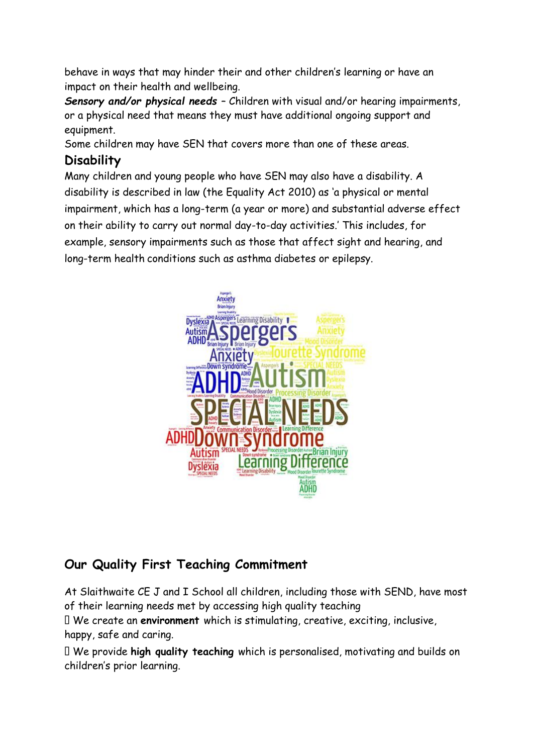behave in ways that may hinder their and other children's learning or have an impact on their health and wellbeing.

*Sensory and/or physical needs* – Children with visual and/or hearing impairments, or a physical need that means they must have additional ongoing support and equipment.

Some children may have SEN that covers more than one of these areas.

## **Disability**

Many children and young people who have SEN may also have a disability. A disability is described in law (the Equality Act 2010) as 'a physical or mental impairment, which has a long-term (a year or more) and substantial adverse effect on their ability to carry out normal day-to-day activities.' This includes, for example, sensory impairments such as those that affect sight and hearing, and long-term health conditions such as asthma diabetes or epilepsy.



# **Our Quality First Teaching Commitment**

At Slaithwaite CE J and I School all children, including those with SEND, have most of their learning needs met by accessing high quality teaching

We create an **environment** which is stimulating, creative, exciting, inclusive, happy, safe and caring.

We provide **high quality teaching** which is personalised, motivating and builds on children's prior learning.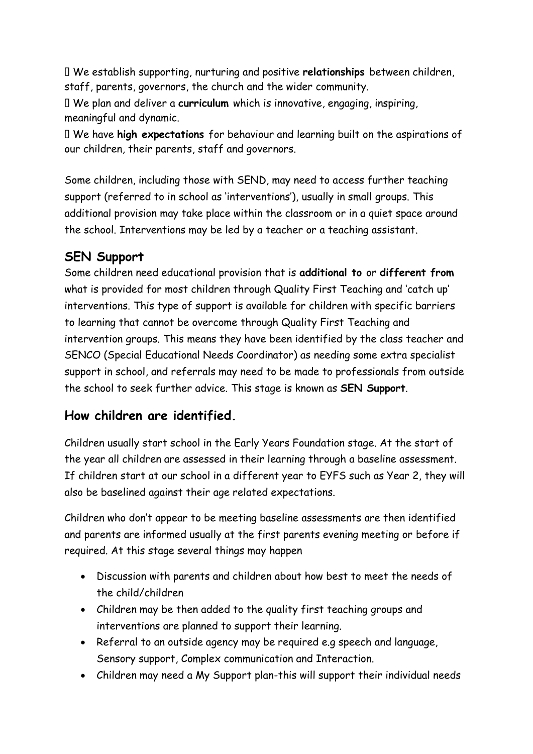We establish supporting, nurturing and positive **relationships** between children, staff, parents, governors, the church and the wider community.

We plan and deliver a **curriculum** which is innovative, engaging, inspiring, meaningful and dynamic.

We have **high expectations** for behaviour and learning built on the aspirations of our children, their parents, staff and governors.

Some children, including those with SEND, may need to access further teaching support (referred to in school as 'interventions'), usually in small groups. This additional provision may take place within the classroom or in a quiet space around the school. Interventions may be led by a teacher or a teaching assistant.

## **SEN Support**

Some children need educational provision that is **additional to** or **different from**  what is provided for most children through Quality First Teaching and 'catch up' interventions. This type of support is available for children with specific barriers to learning that cannot be overcome through Quality First Teaching and intervention groups. This means they have been identified by the class teacher and SENCO (Special Educational Needs Coordinator) as needing some extra specialist support in school, and referrals may need to be made to professionals from outside the school to seek further advice. This stage is known as **SEN Support**.

## **How children are identified.**

Children usually start school in the Early Years Foundation stage. At the start of the year all children are assessed in their learning through a baseline assessment. If children start at our school in a different year to EYFS such as Year 2, they will also be baselined against their age related expectations.

Children who don't appear to be meeting baseline assessments are then identified and parents are informed usually at the first parents evening meeting or before if required. At this stage several things may happen

- Discussion with parents and children about how best to meet the needs of the child/children
- Children may be then added to the quality first teaching groups and interventions are planned to support their learning.
- Referral to an outside agency may be required e.g speech and language, Sensory support, Complex communication and Interaction.
- Children may need a My Support plan-this will support their individual needs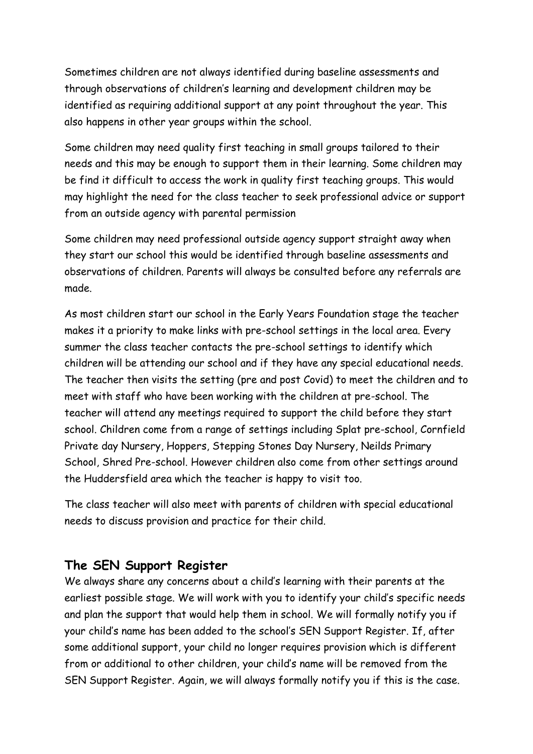Sometimes children are not always identified during baseline assessments and through observations of children's learning and development children may be identified as requiring additional support at any point throughout the year. This also happens in other year groups within the school.

Some children may need quality first teaching in small groups tailored to their needs and this may be enough to support them in their learning. Some children may be find it difficult to access the work in quality first teaching groups. This would may highlight the need for the class teacher to seek professional advice or support from an outside agency with parental permission

Some children may need professional outside agency support straight away when they start our school this would be identified through baseline assessments and observations of children. Parents will always be consulted before any referrals are made.

As most children start our school in the Early Years Foundation stage the teacher makes it a priority to make links with pre-school settings in the local area. Every summer the class teacher contacts the pre-school settings to identify which children will be attending our school and if they have any special educational needs. The teacher then visits the setting (pre and post Covid) to meet the children and to meet with staff who have been working with the children at pre-school. The teacher will attend any meetings required to support the child before they start school. Children come from a range of settings including Splat pre-school, Cornfield Private day Nursery, Hoppers, Stepping Stones Day Nursery, Neilds Primary School, Shred Pre-school. However children also come from other settings around the Huddersfield area which the teacher is happy to visit too.

The class teacher will also meet with parents of children with special educational needs to discuss provision and practice for their child.

### **The SEN Support Register**

We always share any concerns about a child's learning with their parents at the earliest possible stage. We will work with you to identify your child's specific needs and plan the support that would help them in school. We will formally notify you if your child's name has been added to the school's SEN Support Register. If, after some additional support, your child no longer requires provision which is different from or additional to other children, your child's name will be removed from the SEN Support Register. Again, we will always formally notify you if this is the case.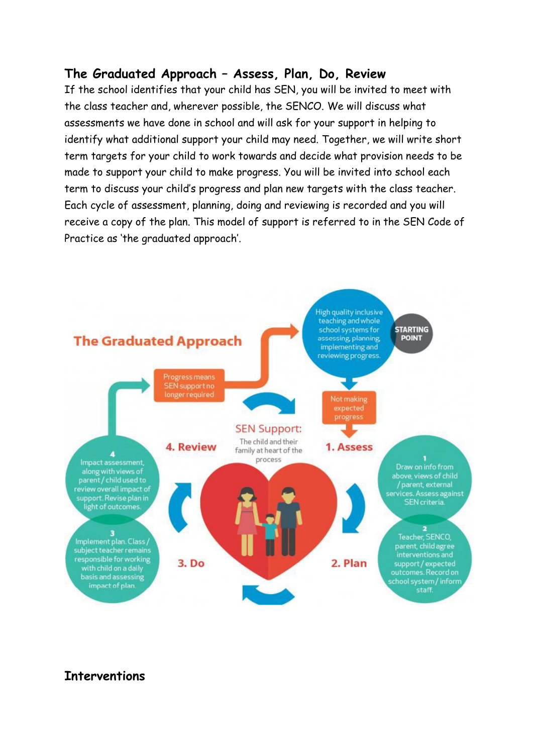### **The Graduated Approach – Assess, Plan, Do, Review**

If the school identifies that your child has SEN, you will be invited to meet with the class teacher and, wherever possible, the SENCO. We will discuss what assessments we have done in school and will ask for your support in helping to identify what additional support your child may need. Together, we will write short term targets for your child to work towards and decide what provision needs to be made to support your child to make progress. You will be invited into school each term to discuss your child's progress and plan new targets with the class teacher. Each cycle of assessment, planning, doing and reviewing is recorded and you will receive a copy of the plan. This model of support is referred to in the SEN Code of Practice as 'the graduated approach'.



## **Interventions**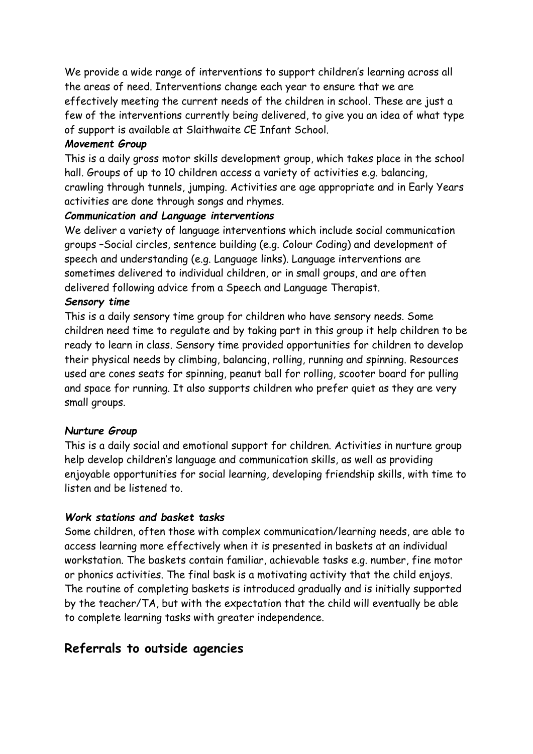We provide a wide range of interventions to support children's learning across all the areas of need. Interventions change each year to ensure that we are effectively meeting the current needs of the children in school. These are just a few of the interventions currently being delivered, to give you an idea of what type of support is available at Slaithwaite CE Infant School.

#### *Movement Group*

This is a daily gross motor skills development group, which takes place in the school hall. Groups of up to 10 children access a variety of activities e.g. balancing, crawling through tunnels, jumping. Activities are age appropriate and in Early Years activities are done through songs and rhymes.

#### *Communication and Language interventions*

We deliver a variety of language interventions which include social communication groups –Social circles, sentence building (e.g. Colour Coding) and development of speech and understanding (e.g. Language links). Language interventions are sometimes delivered to individual children, or in small groups, and are often delivered following advice from a Speech and Language Therapist.

#### *Sensory time*

This is a daily sensory time group for children who have sensory needs. Some children need time to regulate and by taking part in this group it help children to be ready to learn in class. Sensory time provided opportunities for children to develop their physical needs by climbing, balancing, rolling, running and spinning. Resources used are cones seats for spinning, peanut ball for rolling, scooter board for pulling and space for running. It also supports children who prefer quiet as they are very small groups.

#### *Nurture Group*

This is a daily social and emotional support for children. Activities in nurture group help develop children's language and communication skills, as well as providing enjoyable opportunities for social learning, developing friendship skills, with time to listen and be listened to.

#### *Work stations and basket tasks*

Some children, often those with complex communication/learning needs, are able to access learning more effectively when it is presented in baskets at an individual workstation. The baskets contain familiar, achievable tasks e.g. number, fine motor or phonics activities. The final bask is a motivating activity that the child enjoys. The routine of completing baskets is introduced gradually and is initially supported by the teacher/TA, but with the expectation that the child will eventually be able to complete learning tasks with greater independence.

### **Referrals to outside agencies**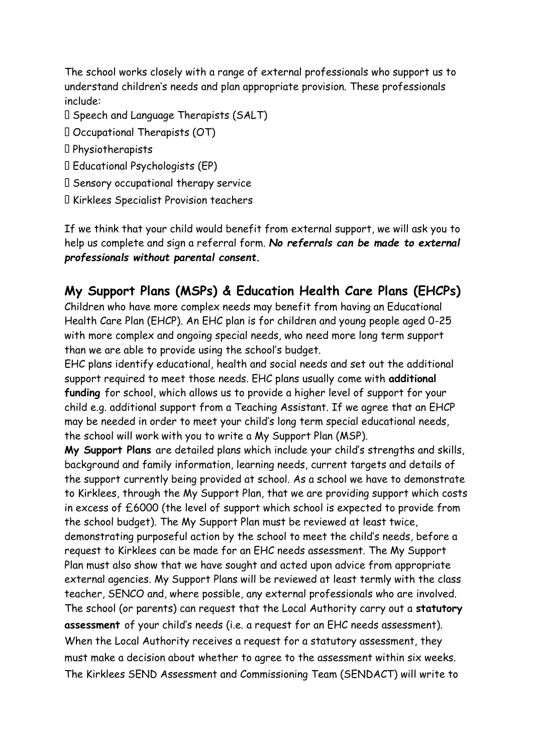The school works closely with a range of external professionals who support us to understand children's needs and plan appropriate provision. These professionals include:

- Speech and Language Therapists (SALT)
- $\Box$  Occupational Therapists (OT)
- Physiotherapists
- Educational Psychologists (EP)
- $\Box$  Sensory occupational therapy service
- Kirklees Specialist Provision teachers

If we think that your child would benefit from external support, we will ask you to help us complete and sign a referral form. *No referrals can be made to external professionals without parental consent.* 

## **My Support Plans (MSPs) & Education Health Care Plans (EHCPs)**

Children who have more complex needs may benefit from having an Educational Health Care Plan (EHCP). An EHC plan is for children and young people aged 0-25 with more complex and ongoing special needs, who need more long term support than we are able to provide using the school's budget.

EHC plans identify educational, health and social needs and set out the additional support required to meet those needs. EHC plans usually come with **additional funding** for school, which allows us to provide a higher level of support for your child e.g. additional support from a Teaching Assistant. If we agree that an EHCP may be needed in order to meet your child's long term special educational needs, the school will work with you to write a My Support Plan (MSP).

**My Support Plans** are detailed plans which include your child's strengths and skills, background and family information, learning needs, current targets and details of the support currently being provided at school. As a school we have to demonstrate to Kirklees, through the My Support Plan, that we are providing support which costs in excess of £6000 (the level of support which school is expected to provide from the school budget). The My Support Plan must be reviewed at least twice, demonstrating purposeful action by the school to meet the child's needs, before a request to Kirklees can be made for an EHC needs assessment. The My Support Plan must also show that we have sought and acted upon advice from appropriate external agencies. My Support Plans will be reviewed at least termly with the class teacher, SENCO and, where possible, any external professionals who are involved. The school (or parents) can request that the Local Authority carry out a **statutory assessment** of your child's needs (i.e. a request for an EHC needs assessment). When the Local Authority receives a request for a statutory assessment, they must make a decision about whether to agree to the assessment within six weeks. The Kirklees SEND Assessment and Commissioning Team (SENDACT) will write to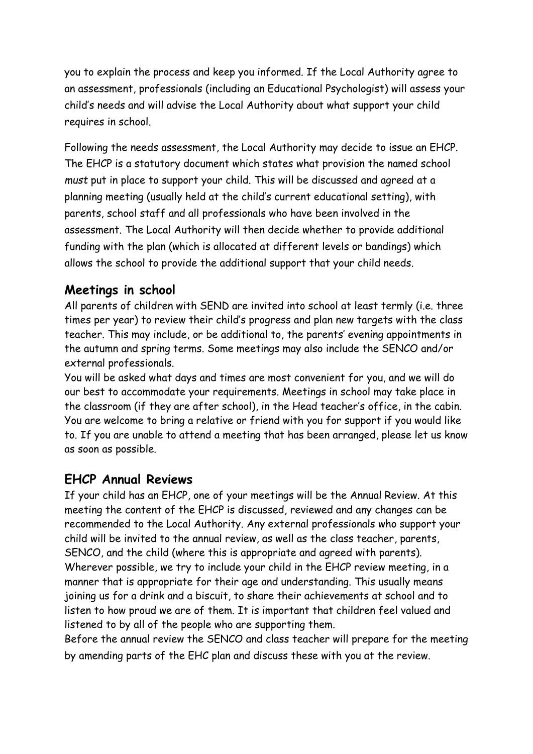you to explain the process and keep you informed. If the Local Authority agree to an assessment, professionals (including an Educational Psychologist) will assess your child's needs and will advise the Local Authority about what support your child requires in school.

Following the needs assessment, the Local Authority may decide to issue an EHCP. The EHCP is a statutory document which states what provision the named school *must* put in place to support your child. This will be discussed and agreed at a planning meeting (usually held at the child's current educational setting), with parents, school staff and all professionals who have been involved in the assessment. The Local Authority will then decide whether to provide additional funding with the plan (which is allocated at different levels or bandings) which allows the school to provide the additional support that your child needs.

## **Meetings in school**

All parents of children with SEND are invited into school at least termly (i.e. three times per year) to review their child's progress and plan new targets with the class teacher. This may include, or be additional to, the parents' evening appointments in the autumn and spring terms. Some meetings may also include the SENCO and/or external professionals.

You will be asked what days and times are most convenient for you, and we will do our best to accommodate your requirements. Meetings in school may take place in the classroom (if they are after school), in the Head teacher's office, in the cabin. You are welcome to bring a relative or friend with you for support if you would like to. If you are unable to attend a meeting that has been arranged, please let us know as soon as possible.

## **EHCP Annual Reviews**

If your child has an EHCP, one of your meetings will be the Annual Review. At this meeting the content of the EHCP is discussed, reviewed and any changes can be recommended to the Local Authority. Any external professionals who support your child will be invited to the annual review, as well as the class teacher, parents, SENCO, and the child (where this is appropriate and agreed with parents). Wherever possible, we try to include your child in the EHCP review meeting, in a manner that is appropriate for their age and understanding. This usually means joining us for a drink and a biscuit, to share their achievements at school and to listen to how proud we are of them. It is important that children feel valued and listened to by all of the people who are supporting them.

Before the annual review the SENCO and class teacher will prepare for the meeting by amending parts of the EHC plan and discuss these with you at the review.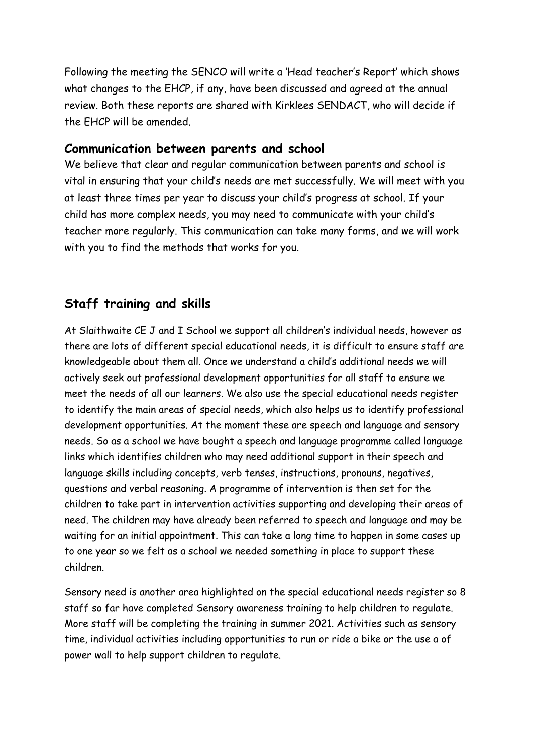Following the meeting the SENCO will write a 'Head teacher's Report' which shows what changes to the EHCP, if any, have been discussed and agreed at the annual review. Both these reports are shared with Kirklees SENDACT, who will decide if the EHCP will be amended.

### **Communication between parents and school**

We believe that clear and regular communication between parents and school is vital in ensuring that your child's needs are met successfully. We will meet with you at least three times per year to discuss your child's progress at school. If your child has more complex needs, you may need to communicate with your child's teacher more regularly. This communication can take many forms, and we will work with you to find the methods that works for you.

## **Staff training and skills**

At Slaithwaite CE J and I School we support all children's individual needs, however as there are lots of different special educational needs, it is difficult to ensure staff are knowledgeable about them all. Once we understand a child's additional needs we will actively seek out professional development opportunities for all staff to ensure we meet the needs of all our learners. We also use the special educational needs register to identify the main areas of special needs, which also helps us to identify professional development opportunities. At the moment these are speech and language and sensory needs. So as a school we have bought a speech and language programme called language links which identifies children who may need additional support in their speech and language skills including concepts, verb tenses, instructions, pronouns, negatives, questions and verbal reasoning. A programme of intervention is then set for the children to take part in intervention activities supporting and developing their areas of need. The children may have already been referred to speech and language and may be waiting for an initial appointment. This can take a long time to happen in some cases up to one year so we felt as a school we needed something in place to support these children.

Sensory need is another area highlighted on the special educational needs register so 8 staff so far have completed Sensory awareness training to help children to regulate. More staff will be completing the training in summer 2021. Activities such as sensory time, individual activities including opportunities to run or ride a bike or the use a of power wall to help support children to regulate.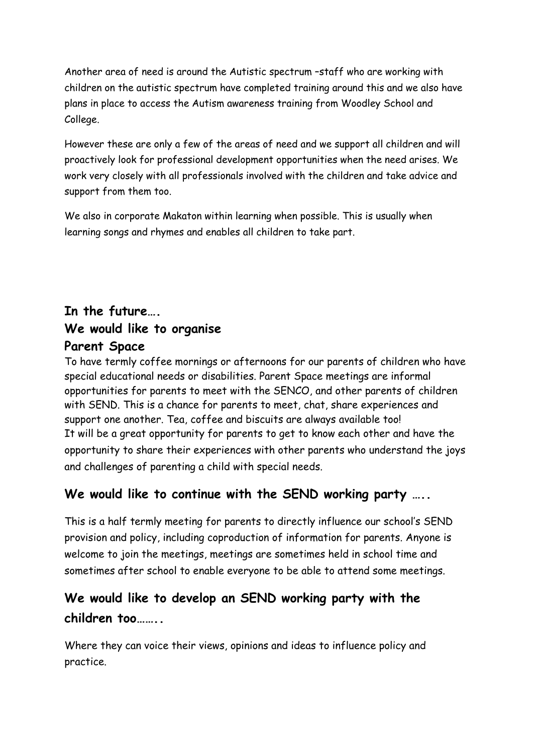Another area of need is around the Autistic spectrum –staff who are working with children on the autistic spectrum have completed training around this and we also have plans in place to access the Autism awareness training from Woodley School and College.

However these are only a few of the areas of need and we support all children and will proactively look for professional development opportunities when the need arises. We work very closely with all professionals involved with the children and take advice and support from them too.

We also in corporate Makaton within learning when possible. This is usually when learning songs and rhymes and enables all children to take part.

# **In the future…. We would like to organise Parent Space**

To have termly coffee mornings or afternoons for our parents of children who have special educational needs or disabilities. Parent Space meetings are informal opportunities for parents to meet with the SENCO, and other parents of children with SEND. This is a chance for parents to meet, chat, share experiences and support one another. Tea, coffee and biscuits are always available too! It will be a great opportunity for parents to get to know each other and have the opportunity to share their experiences with other parents who understand the joys and challenges of parenting a child with special needs.

## We would like to continue with the SEND working party ....

This is a half termly meeting for parents to directly influence our school's SEND provision and policy, including coproduction of information for parents. Anyone is welcome to join the meetings, meetings are sometimes held in school time and sometimes after school to enable everyone to be able to attend some meetings.

# **We would like to develop an SEND working party with the children too……..**

Where they can voice their views, opinions and ideas to influence policy and practice.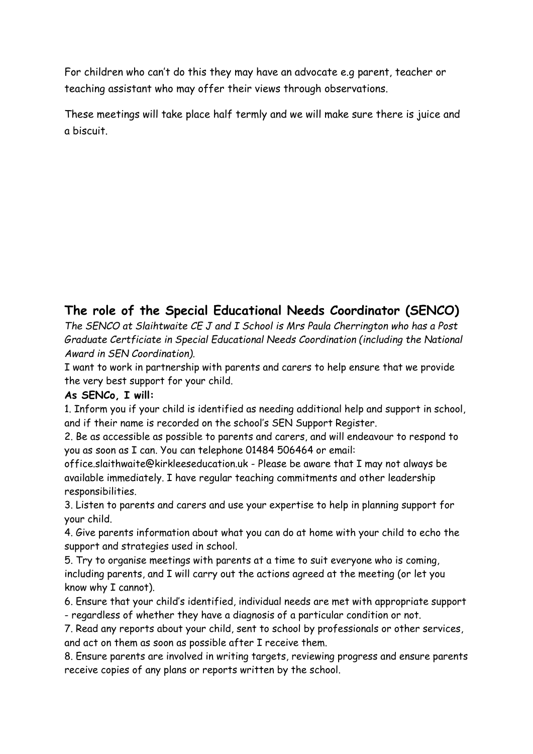For children who can't do this they may have an advocate e.g parent, teacher or teaching assistant who may offer their views through observations.

These meetings will take place half termly and we will make sure there is juice and a biscuit.

## **The role of the Special Educational Needs Coordinator (SENCO)**

*The SENCO at Slaihtwaite CE J and I School is Mrs Paula Cherrington who has a Post Graduate Certficiate in Special Educational Needs Coordination (including the National Award in SEN Coordination).* 

I want to work in partnership with parents and carers to help ensure that we provide the very best support for your child.

#### **As SENCo, I will:**

1. Inform you if your child is identified as needing additional help and support in school, and if their name is recorded on the school's SEN Support Register.

2. Be as accessible as possible to parents and carers, and will endeavour to respond to you as soon as I can. You can telephone 01484 506464 or email:

office.slaithwaite@kirkleeseducation.uk - Please be aware that I may not always be available immediately. I have regular teaching commitments and other leadership responsibilities.

3. Listen to parents and carers and use your expertise to help in planning support for your child.

4. Give parents information about what you can do at home with your child to echo the support and strategies used in school.

5. Try to organise meetings with parents at a time to suit everyone who is coming, including parents, and I will carry out the actions agreed at the meeting (or let you know why I cannot).

6. Ensure that your child's identified, individual needs are met with appropriate support - regardless of whether they have a diagnosis of a particular condition or not.

7. Read any reports about your child, sent to school by professionals or other services, and act on them as soon as possible after I receive them.

8. Ensure parents are involved in writing targets, reviewing progress and ensure parents receive copies of any plans or reports written by the school.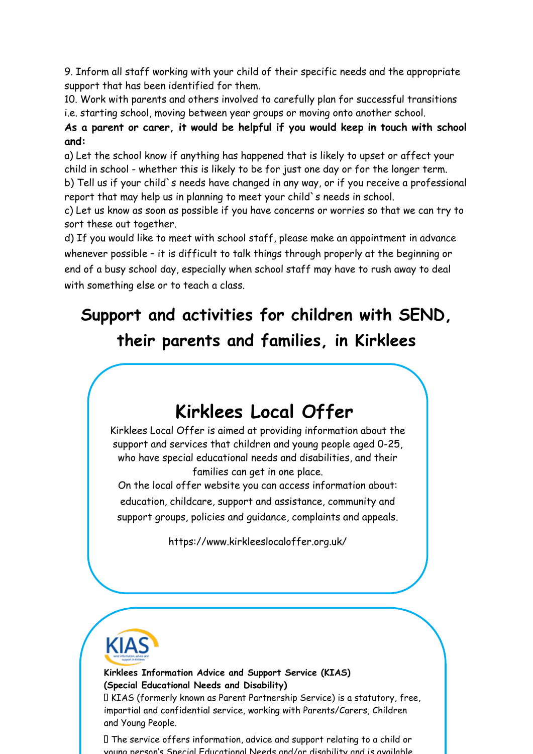9. Inform all staff working with your child of their specific needs and the appropriate support that has been identified for them.

10. Work with parents and others involved to carefully plan for successful transitions i.e. starting school, moving between year groups or moving onto another school.

### **As a parent or carer, it would be helpful if you would keep in touch with school and:**

a) Let the school know if anything has happened that is likely to upset or affect your child in school - whether this is likely to be for just one day or for the longer term. b) Tell us if your child`s needs have changed in any way, or if you receive a professional report that may help us in planning to meet your child`s needs in school.

c) Let us know as soon as possible if you have concerns or worries so that we can try to sort these out together.

d) If you would like to meet with school staff, please make an appointment in advance whenever possible - it is difficult to talk things through properly at the beginning or end of a busy school day, especially when school staff may have to rush away to deal with something else or to teach a class.

# **Support and activities for children with SEND, their parents and families, in Kirklees**



Kirklees Local Offer is aimed at providing information about the support and services that children and young people aged 0-25, who have special educational needs and disabilities, and their families can get in one place.

On the local offer website you can access information about: education, childcare, support and assistance, community and support groups, policies and guidance, complaints and appeals.

https://www.kirkleeslocaloffer.org.uk/



**Kirklees Information Advice and Support Service (KIAS) (Special Educational Needs and Disability)** 

KIAS (formerly known as Parent Partnership Service) is a statutory, free, impartial and confidential service, working with Parents/Carers, Children and Young People.

The service offers information, advice and support relating to a child or young person's Special Educational Needs and/or disability and is available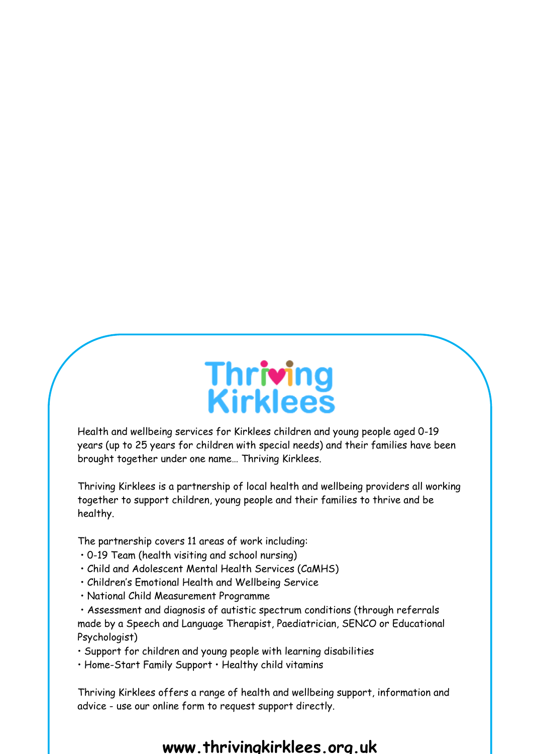

Health and wellbeing services for Kirklees children and young people aged 0-19 years (up to 25 years for children with special needs) and their families have been brought together under one name… Thriving Kirklees.

Thriving Kirklees is a partnership of local health and wellbeing providers all working together to support children, young people and their families to thrive and be healthy.

The partnership covers 11 areas of work including:

- 0-19 Team (health visiting and school nursing)
- Child and Adolescent Mental Health Services (CaMHS)
- Children's Emotional Health and Wellbeing Service
- National Child Measurement Programme

• Assessment and diagnosis of autistic spectrum conditions (through referrals made by a Speech and Language Therapist, Paediatrician, SENCO or Educational Psychologist)

• Support for children and young people with learning disabilities

• Home-Start Family Support • Healthy child vitamins

Thriving Kirklees offers a range of health and wellbeing support, information and advice - use our online form to request support directly.

### **www.thrivingkirklees.org.uk**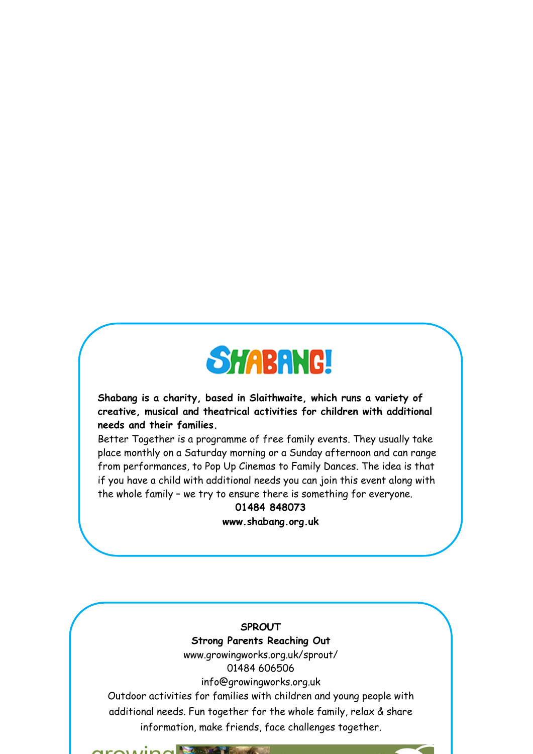

**Shabang is a charity, based in Slaithwaite, which runs a variety of creative, musical and theatrical activities for children with additional needs and their families.** 

Better Together is a programme of free family events. They usually take place monthly on a Saturday morning or a Sunday afternoon and can range from performances, to Pop Up Cinemas to Family Dances. The idea is that if you have a child with additional needs you can join this event along with the whole family – we try to ensure there is something for everyone.

## **01484 848073**

**www.shabang.org.uk**

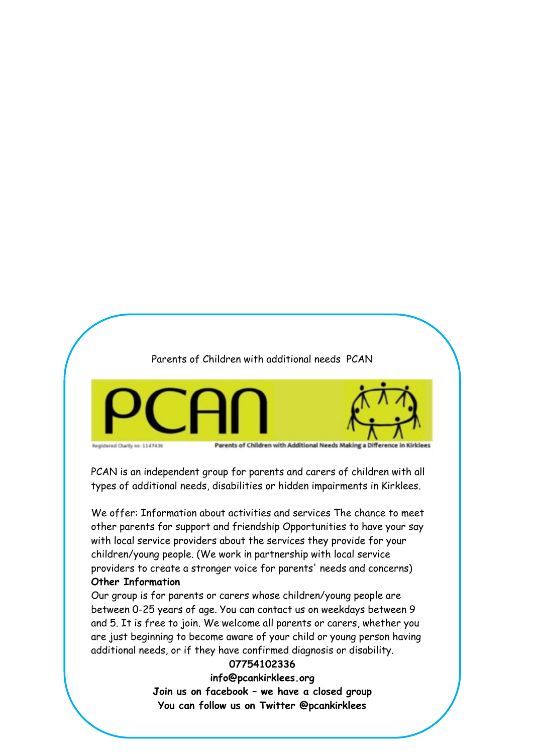Parents of Children with additional needs PCAN



PCAN is an independent group for parents and carers of children with all types of additional needs, disabilities or hidden impairments in Kirklees.

We offer: Information about activities and services The chance to meet other parents for support and friendship Opportunities to have your say with local service providers about the services they provide for your children/young people. (We work in partnership with local service providers to create a stronger voice for parents' needs and concerns) **Other Information** 

Our group is for parents or carers whose children/young people are between 0-25 years of age. You can contact us on weekdays between 9 and 5. It is free to join. We welcome all parents or carers, whether you are just beginning to become aware of your child or young person having additional needs, or if they have confirmed diagnosis or disability.

#### **07754102336**

**info@pcankirklees.org Join us on facebook – we have a closed group You can follow us on Twitter @pcankirklees**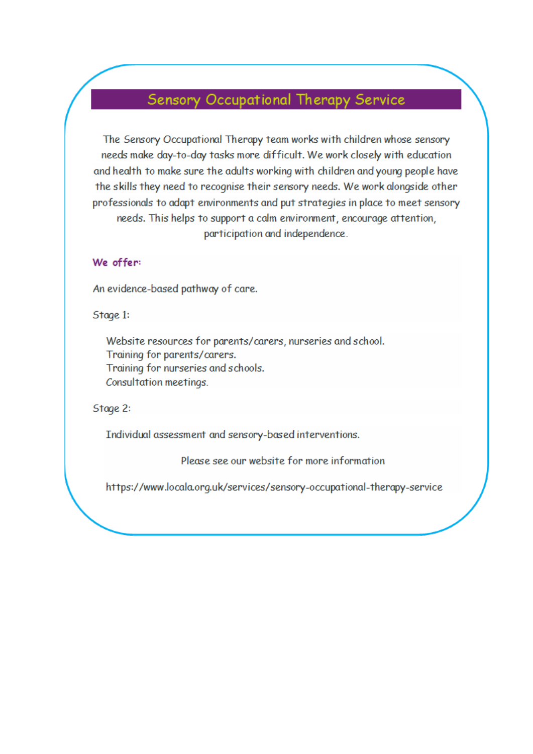# Sensory Occupational Therapy Service

The Sensory Occupational Therapy team works with children whose sensory needs make day-to-day tasks more difficult. We work closely with education and health to make sure the adults working with children and young people have the skills they need to recognise their sensory needs. We work alongside other professionals to adapt environments and put strategies in place to meet sensory needs. This helps to support a calm environment, encourage attention, participation and independence.

#### We offer:

An evidence-based pathway of care.

Stage 1:

Website resources for parents/carers, nurseries and school. Training for parents/carers. Training for nurseries and schools. Consultation meetings.

Stage 2:

Individual assessment and sensory-based interventions.

Please see our website for more information

https://www.locala.org.uk/services/sensory-occupational-therapy-service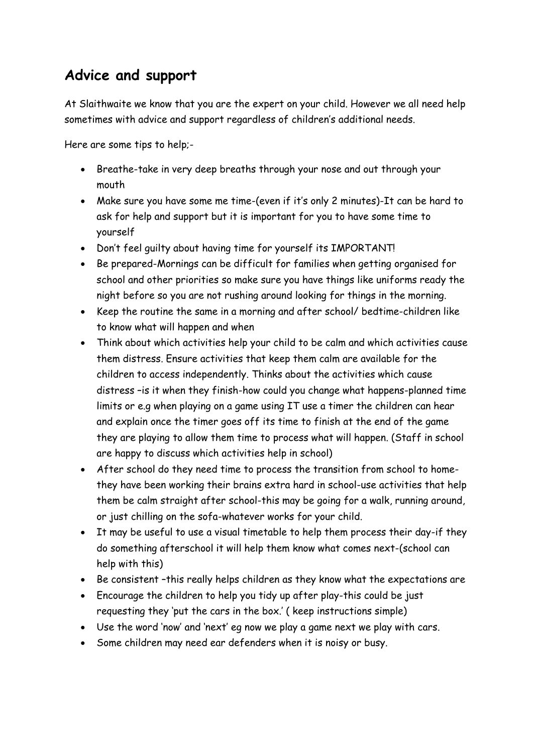# **Advice and support**

At Slaithwaite we know that you are the expert on your child. However we all need help sometimes with advice and support regardless of children's additional needs.

Here are some tips to help;-

- Breathe-take in very deep breaths through your nose and out through your mouth
- Make sure you have some me time-(even if it's only 2 minutes)-It can be hard to ask for help and support but it is important for you to have some time to yourself
- Don't feel guilty about having time for yourself its IMPORTANT!
- Be prepared-Mornings can be difficult for families when getting organised for school and other priorities so make sure you have things like uniforms ready the night before so you are not rushing around looking for things in the morning.
- Keep the routine the same in a morning and after school/ bedtime-children like to know what will happen and when
- Think about which activities help your child to be calm and which activities cause them distress. Ensure activities that keep them calm are available for the children to access independently. Thinks about the activities which cause distress –is it when they finish-how could you change what happens-planned time limits or e.g when playing on a game using IT use a timer the children can hear and explain once the timer goes off its time to finish at the end of the game they are playing to allow them time to process what will happen. (Staff in school are happy to discuss which activities help in school)
- After school do they need time to process the transition from school to homethey have been working their brains extra hard in school-use activities that help them be calm straight after school-this may be going for a walk, running around, or just chilling on the sofa-whatever works for your child.
- It may be useful to use a visual timetable to help them process their day-if they do something afterschool it will help them know what comes next-(school can help with this)
- Be consistent –this really helps children as they know what the expectations are
- Encourage the children to help you tidy up after play-this could be just requesting they 'put the cars in the box.' ( keep instructions simple)
- Use the word 'now' and 'next' eg now we play a game next we play with cars.
- Some children may need ear defenders when it is noisy or busy.